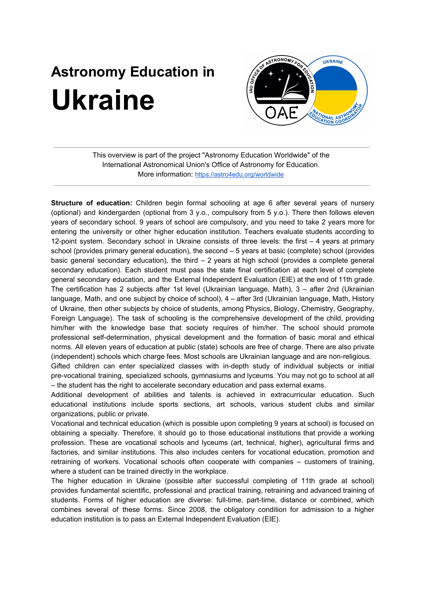## **Astronomy Education in Ukraine**



This overview is part of the project "Astronomy Education Worldwide" of the International Astronomical Union's Office of Astronomy for Education. More information: <https://astro4edu.org/worldwide>

**Structure of education:** Children begin formal schooling at age 6 after several years of nursery (optional) and kindergarden (optional from 3 y.o., compulsory from 5 y.o.). There then follows eleven years of secondary school. 9 years of school are compulsory, and you need to take 2 years more for entering the university or other higher education institution. Teachers evaluate students according to 12-point system. Secondary school in Ukraine consists of three levels: the first – 4 years at primary school (provides primary general education), the second – 5 years at basic (complete) school (provides basic general secondary education), the third  $-2$  years at high school (provides a complete general secondary education). Each student must pass the state final certification at each level of complete general secondary education, and the External Independent Evaluation (EIE) at the end of 11th grade. The certification has 2 subjects after 1st level (Ukrainian language, Math), 3 – after 2nd (Ukrainian language, Math, and one subject by choice of school), 4 – after 3rd (Ukrainian language, Math, History of Ukraine, then other subjects by choice of students, among Physics, Biology, Chemistry, Geography, Foreign Language). The task of schooling is the comprehensive development of the child, providing him/her with the knowledge base that society requires of him/her. The school should promote professional self-determination, physical development and the formation of basic moral and ethical norms. All eleven years of education at public (state) schools are free of charge. There are also private (independent) schools which charge fees. Most schools are Ukrainian language and are non-religious.

Gifted children can enter specialized classes with in-depth study of individual subjects or initial pre-vocational training, specialized schools, gymnasiums and lyceums. You may not go to school at all – the student has the right to accelerate secondary education and pass external exams.

Additional development of abilities and talents is achieved in extracurricular education. Such educational institutions include sports sections, art schools, various student clubs and similar organizations, public or private.

Vocational and technical education (which is possible upon completing 9 years at school) is focused on obtaining a specialty. Therefore, it should go to those educational institutions that provide a working profession. These are vocational schools and lyceums (art, technical, higher), agricultural firms and factories, and similar institutions. This also includes centers for vocational education, promotion and retraining of workers. Vocational schools often cooperate with companies – customers of training, where a student can be trained directly in the workplace.

The higher education in Ukraine (possible after successful completing of 11th grade at school) provides fundamental scientific, professional and practical training, retraining and advanced training of students. Forms of higher education are diverse: full-time, part-time, distance or combined, which combines several of these forms. Since 2008, the obligatory condition for admission to a higher education institution is to pass an External Independent Evaluation (EIE).